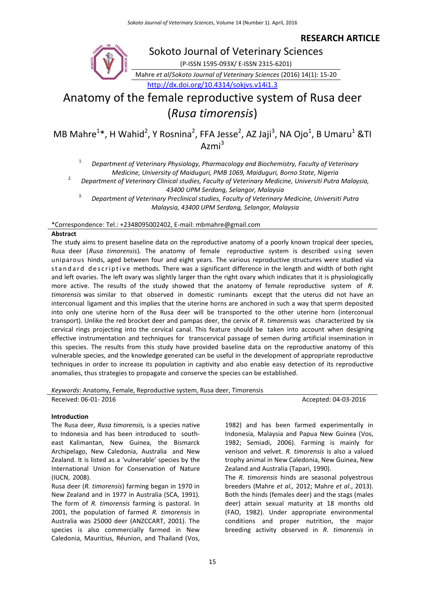# **RESEARCH ARTICLE**



# Anatomy of the female reproductive system of Rusa deer (*Rusa timorensis*)

MB Mahre<sup>1</sup>\*, H Wahid<sup>2</sup>, Y Rosnina<sup>2</sup>, FFA Jesse<sup>2</sup>, AZ Jaji<sup>3</sup>, NA Ojo<sup>1</sup>, B Umaru<sup>1</sup> &TI  $A$ zmi<sup>3</sup>

1. *Department of Veterinary Physiology, Pharmacology and Biochemistry, Faculty of Veterinary Medicine, University of Maiduguri, PMB 1069, Maiduguri, Borno State, Nigeria*

2. *Department of Veterinary Clinical studies, Faculty of Veterinary Medicine, Universiti Putra Malaysia, 43400 UPM Serdang, Selangor, Malaysia*

3. *Department of Veterinary Preclinical studies, Faculty of Veterinary Medicine, Universiti Putra Malaysia, 43400 UPM Serdang, Selangor, Malaysia*

\*Correspondence: Tel.: +2348095002402, E-mail: mbmahre@gmail.com

#### **Abstract**

The study aims to present baseline data on the reproductive anatomy of a poorly known tropical deer species, Rusa deer (*Rusa timorensis*)*.* The anatomy of female reproductive system is described using seven uniparous hinds, aged between four and eight years. The various reproductive structures were studied via st and ard descriptive methods. There was a significant difference in the length and width of both right and left ovaries. The left ovary was slightly larger than the right ovary which indicates that it is physiologically more active. The results of the study showed that the anatomy of female reproductive system of *R*. *timorensis* was similar to that observed in domestic ruminants except that the uterus did not have an interconual ligament and this implies that the uterine horns are anchored in such a way that sperm deposited into only one uterine horn of the Rusa deer will be transported to the other uterine horn (interconual transport). Unlike the red brocket deer and pampas deer, the cervix of *R*. *timorensis* was characterized by six cervical rings projecting into the cervical canal. This feature should be taken into account when designing effective instrumentation and techniques for transcervical passage of semen during artificial insemination in this species. The results from this study have provided baseline data on the reproductive anatomy of this vulnerable species, and the knowledge generated can be useful in the development of appropriate reproductive techniques in order to increase its population in captivity and also enable easy detection of its reproductive anomalies, thus strategies to propagate and conserve the species can be established.

*Keywords*: Anatomy, Female, Reproductive system, Rusa deer, Timorensis

Received: 06-01- 2016 **Accepted: 04-03-2016** Accepted: 04-03-2016

#### **Introduction**

The Rusa deer, *Rusa timorensis,* is a species native to Indonesia and has been introduced to southeast Kalimantan, New Guinea, the Bismarck Archipelago, New Caledonia, Australia and New Zealand. It is listed as a 'vulnerable' species by the International Union for Conservation of Nature (IUCN, 2008).

Rusa deer (*R. timorensis*) farming began in 1970 in New Zealand and in 1977 in Australia (SCA, 1991). The form of *R. timorensis* farming is pastoral. In 2001, the population of farmed *R. timorensis* in Australia was 25000 deer (ANZCCART, 2001). The species is also commercially farmed in New Caledonia, Mauritius, Réunion, and Thailand (Vos, 1982) and has been farmed experimentally in Indonesia, Malaysia and Papua New Guinea (Vos, 1982; Semiadi, 2006). Farming is mainly for venison and velvet. *R. timorensis* is also a valued trophy animal in New Caledonia, New Guinea, New Zealand and Australia (Tapari, 1990).

The *R. timorensis* hinds are seasonal polyestrous breeders (Mahre *et al.,* 2012; Mahre *et al*., 2013). Both the hinds (females deer) and the stags (males deer) attain sexual maturity at 18 months old (FAO, 1982). Under appropriate environmental conditions and proper nutrition, the major breeding activity observed in *R. timorensis* in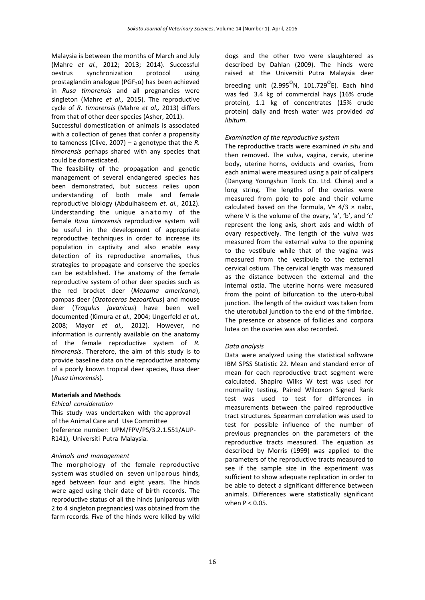Malaysia is between the months of March and July (Mahre *et al.,* 2012; 2013; 2014). Successful oestrus synchronization protocol using prostaglandin analogue ( $PGF_2α$ ) has been achieved in *Rusa timorensis* and all pregnancies were singleton (Mahre *et al.,* 2015). The reproductive cycle of *R. timorensis* (Mahre *et al.,* 2013) differs from that of other deer species (Asher, 2011).

Successful domestication of animals is associated with a collection of genes that confer a propensity to tameness (Clive, 2007) – a genotype that the *R. timorensis* perhaps shared with any species that could be domesticated.

The feasibility of the propagation and genetic management of several endangered species has been demonstrated, but success relies upon understanding of both male and female reproductive biology (Abdulhakeem *et. al.*, 2012). Understanding the unique an a tomy of the female *Rusa timorensis* reproductive system will be useful in the development of appropriate reproductive techniques in order to increase its population in captivity and also enable easy detection of its reproductive anomalies, thus strategies to propagate and conserve the species can be established. The anatomy of the female reproductive system of other deer species such as the red brocket deer (*Mazama americana*), pampas deer (*Ozotoceros bezoarticus*) and mouse deer (*Tragulus javanicus*) have been well documented (Kimura *et al.,* 2004; Ungerfeld *et al.,* 2008; Mayor *et al.,* 2012). However, no information is currently available on the anatomy of the female reproductive system of *R. timorensis*. Therefore, the aim of this study is to provide baseline data on the reproductive anatomy of a poorly known tropical deer species, Rusa deer (*Rusa timorensis*)*.*

#### **Materials and Methods**

*Ethical consideration* This study was undertaken with the approval of the Animal Care and Use Committee (reference number: UPM/FPV/PS/3.2.1.551/AUP-R141), Universiti Putra Malaysia.

#### *Animals and management*

The morphology of the female reproductive system was studied on seven uniparous hinds, aged between four and eight years. The hinds were aged using their date of birth records. The reproductive status of all the hinds (uniparous with 2 to 4 singleton pregnancies) was obtained from the farm records. Five of the hinds were killed by wild dogs and the other two were slaughtered as described by Dahlan (2009). The hinds were raised at the Universiti Putra Malaysia deer breeding unit (2.995<sup>O</sup>N, 101.729<sup>O</sup>E). Each hind was fed 3.4 kg of commercial hays (16% crude protein), 1.1 kg of concentrates (15% crude protein) daily and fresh water was provided *ad libitum*.

## *Examination of the reproductive system*

The reproductive tracts were examined *in situ* and then removed. The vulva, vagina, cervix, uterine body, uterine horns, oviducts and ovaries, from each animal were measured using a pair of calipers (Danyang Youngshun Tools Co. Ltd. China) and a long string. The lengths of the ovaries were measured from pole to pole and their volume calculated based on the formula,  $V = 4/3 \times \pi abc$ , where V is the volume of the ovary, 'a', 'b', and 'c' represent the long axis, short axis and width of ovary respectively. The length of the vulva was measured from the external vulva to the opening to the vestibule while that of the vagina was measured from the vestibule to the external cervical ostium. The cervical length was measured as the distance between the external and the internal ostia. The uterine horns were measured from the point of bifurcation to the utero-tubal junction. The length of the oviduct was taken from the uterotubal junction to the end of the fimbriae. The presence or absence of follicles and corpora lutea on the ovaries was also recorded.

#### *Data analysis*

Data were analyzed using the statistical software IBM SPSS Statistic 22. Mean and standard error of mean for each reproductive tract segment were calculated. Shapiro Wilks W test was used for normality testing. Paired Wilcoxon Signed Rank test was used to test for differences in measurements between the paired reproductive tract structures. Spearman correlation was used to test for possible influence of the number of previous pregnancies on the parameters of the reproductive tracts measured. The equation as described by Morris (1999) was applied to the parameters of the reproductive tracts measured to see if the sample size in the experiment was sufficient to show adequate replication in order to be able to detect a significant difference between animals. Differences were statistically significant when P < 0.05.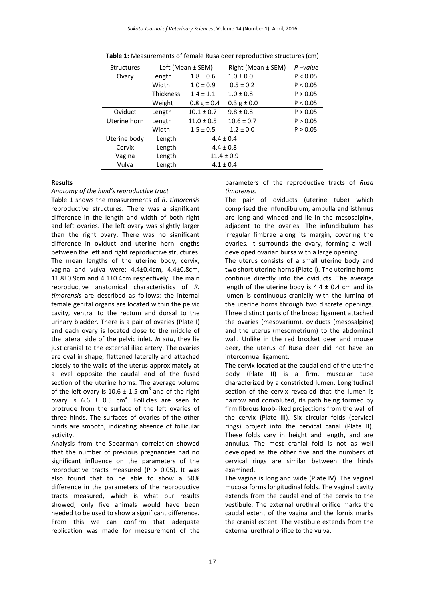| <b>Structures</b> | Left (Mean $\pm$ SEM) |                 | Right (Mean ± SEM) | $P$ –value |
|-------------------|-----------------------|-----------------|--------------------|------------|
| Ovary             | Length                | $1.8 \pm 0.6$   | $1.0 \pm 0.0$      | P < 0.05   |
|                   | Width                 | $1.0 \pm 0.9$   | $0.5 \pm 0.2$      | P < 0.05   |
|                   | <b>Thickness</b>      | $1.4 + 1.1$     | $1.0 \pm 0.8$      | P > 0.05   |
|                   | Weight                | $0.8 g \pm 0.4$ | $0.3 g \pm 0.0$    | P < 0.05   |
| Oviduct           | Length                | $10.1 \pm 0.7$  | $9.8 \pm 0.8$      | P > 0.05   |
| Uterine horn      | Length                | $11.0 \pm 0.5$  | $10.6 \pm 0.7$     | P > 0.05   |
|                   | Width                 | $1.5 \pm 0.5$   | $1.2 \pm 0.0$      | P > 0.05   |
| Uterine body      | Length                | $4.4 \pm 0.4$   |                    |            |
| Cervix            | Length                | $4.4 \pm 0.8$   |                    |            |
| Vagina            | Length                | $11.4 \pm 0.9$  |                    |            |
| Vulva             | Length                | $4.1 \pm 0.4$   |                    |            |

**Table 1:** Measurements of female Rusa deer reproductive structures (cm)

## **Results**

#### *Anatomy of the hind's reproductive tract*

Table 1 shows the measurements of *R. timorensis*  reproductive structures. There was a significant difference in the length and width of both right and left ovaries. The left ovary was slightly larger than the right ovary. There was no significant difference in oviduct and uterine horn lengths between the left and right reproductive structures. The mean lengths of the uterine body, cervix, vagina and vulva were: 4.4±0.4cm, 4.4±0.8cm, 11.8±0.9cm and 4.1±0.4cm respectively. The main reproductive anatomical characteristics of *R. timorensis* are described as follows: the internal female genital organs are located within the pelvic cavity, ventral to the rectum and dorsal to the urinary bladder. There is a pair of ovaries (Plate I) and each ovary is located close to the middle of the lateral side of the pelvic inlet. *In situ*, they lie just cranial to the external iliac artery. The ovaries are oval in shape, flattened laterally and attached closely to the walls of the uterus approximately at a level opposite the caudal end of the fused section of the uterine horns. The average volume of the left ovary is  $10.6 \pm 1.5$  cm<sup>3</sup> and of the right ovary is  $6.6 \pm 0.5$  cm<sup>3</sup>. Follicles are seen to protrude from the surface of the left ovaries of three hinds. The surfaces of ovaries of the other hinds are smooth, indicating absence of follicular activity.

Analysis from the Spearman correlation showed that the number of previous pregnancies had no significant influence on the parameters of the reproductive tracts measured ( $P > 0.05$ ). It was also found that to be able to show a 50% difference in the parameters of the reproductive tracts measured, which is what our results showed, only five animals would have been needed to be used to show a significant difference. From this we can confirm that adequate replication was made for measurement of the

parameters of the reproductive tracts of *Rusa timorensis.*

The pair of oviducts (uterine tube) which comprised the infundibulum, ampulla and isthmus are long and winded and lie in the mesosalpinx, adiacent to the ovaries. The infundibulum has irregular fimbrae along its margin, covering the ovaries. It surrounds the ovary, forming a welldeveloped ovarian bursa with a large opening.

The uterus consists of a small uterine body and two short uterine horns (Plate I). The uterine horns continue directly into the oviducts. The average length of the uterine body is 4.4 **±** 0.4 cm and its lumen is continuous cranially with the lumina of the uterine horns through two discrete openings. Three distinct parts of the broad ligament attached the ovaries (mesovarium), oviducts (mesosalpinx) and the uterus (mesometrium) to the abdominal wall. Unlike in the red brocket deer and mouse deer, the uterus of Rusa deer did not have an intercornual ligament.

The cervix located at the caudal end of the uterine body (Plate II) is a firm, muscular tube characterized by a constricted lumen. Longitudinal section of the cervix revealed that the lumen is narrow and convoluted, its path being formed by firm fibrous knob-liked projections from the wall of the cervix (Plate III). Six circular folds (cervical rings) project into the cervical canal (Plate II). These folds vary in height and length, and are annulus. The most cranial fold is not as well developed as the other five and the numbers of cervical rings are similar between the hinds examined.

The vagina is long and wide (Plate IV). The vaginal mucosa forms longitudinal folds. The vaginal cavity extends from the caudal end of the cervix to the vestibule. The external urethral orifice marks the caudal extent of the vagina and the fornix marks the cranial extent. The vestibule extends from the external urethral orifice to the vulva.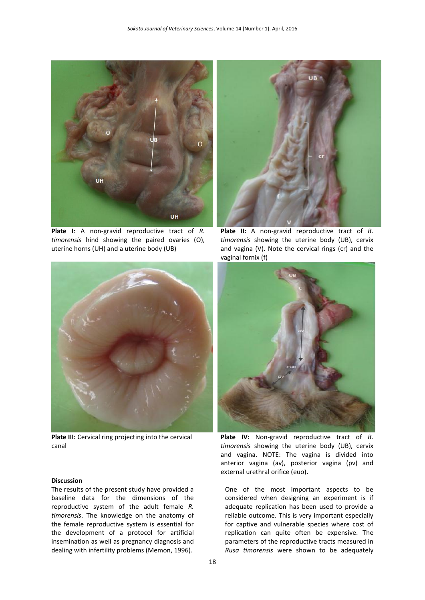

**Plate I**: A non-gravid reproductive tract of *R. timorensis* hind showing the paired ovaries (O), uterine horns (UH) and a uterine body (UB)



**Plate II:** A non-gravid reproductive tract of *R. timorensis* showing the uterine body (UB), cervix and vagina (V). Note the cervical rings (cr) and the vaginal fornix (f)



Plate III: Cervical ring projecting into the cervical canal

#### **Discussion**

The results of the present study have provided a baseline data for the dimensions of the reproductive system of the adult female *R. timorensis*. The knowledge on the anatomy of the female reproductive system is essential for the development of a protocol for artificial insemination as well as pregnancy diagnosis and dealing with infertility problems (Memon, 1996).



**Plate IV:** Non-gravid reproductive tract of *R. timorensis* showing the uterine body (UB), cervix and vagina. NOTE: The vagina is divided into anterior vagina (av), posterior vagina (pv) and external urethral orifice (euo).

One of the most important aspects to be considered when designing an experiment is if adequate replication has been used to provide a reliable outcome. This is very important especially for captive and vulnerable species where cost of replication can quite often be expensive. The parameters of the reproductive tracts measured in *Rusa timorensis* were shown to be adequately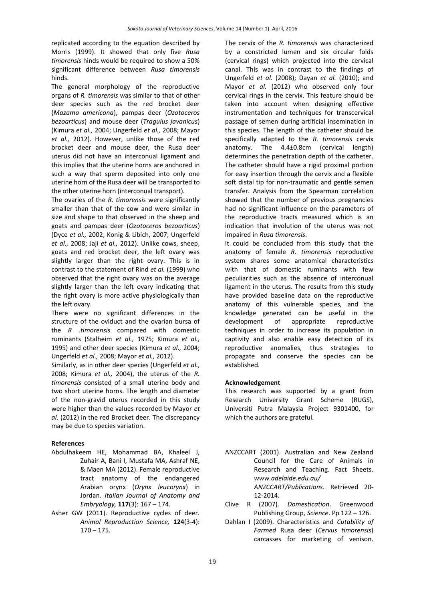replicated according to the equation described by Morris (1999). It showed that only five *Rusa timorensis* hinds would be required to show a 50% significant difference between *Rusa timorensis* hinds.

The general morphology of the reproductive organs of *R. timorensis* was similar to that of other deer species such as the red brocket deer (*Mazama americana*), pampas deer (*Ozotoceros bezoarticus*) and mouse deer (*Tragulus javanicus*) (Kimura *et al.,* 2004; Ungerfeld *et al.,* 2008; Mayor *et al.,* 2012). However, unlike those of the red brocket deer and mouse deer, the Rusa deer uterus did not have an interconual ligament and this implies that the uterine horns are anchored in such a way that sperm deposited into only one uterine horn of the Rusa deer will be transported to the other uterine horn (interconual transport).

The ovaries of the *R. timorensis* were significantly smaller than that of the cow and were similar in size and shape to that observed in the sheep and goats and pampas deer (*Ozotoceros bezoarticus*) (Dyce *et al.,* 2002; Konig & Libich, 2007; Ungerfeld *et al.,* 2008; Jaji *et al.,* 2012). Unlike cows, sheep, goats and red brocket deer, the left ovary was slightly larger than the right ovary. This is in contrast to the statement of Rind *et al.* (1999) who observed that the right ovary was on the average slightly larger than the left ovary indicating that the right ovary is more active physiologically than the left ovary.

There were no significant differences in the structure of the oviduct and the ovarian bursa of the *R .timorensis* compared with domestic ruminants (Stalheim *et al.,* 1975; Kimura *et al.,* 1995) and other deer species (Kimura *et al.,* 2004; Ungerfeld *et al.,* 2008; Mayor *et al.,* 2012).

Similarly, as in other deer species (Ungerfeld *et al.,* 2008; Kimura *et al.,* 2004), the uterus of the *R. timorensis* consisted of a small uterine body and two short uterine horns. The length and diameter of the non-gravid uterus recorded in this study were higher than the values recorded by Mayor *et al.* (2012) in the red Brocket deer. The discrepancy may be due to species variation.

#### **References**

- Abdulhakeem HE, Mohammad BA, Khaleel J, Zuhair A, Bani I, Mustafa MA, Ashraf NE, & Maen MA (2012). Female reproductive tract anatomy of the endangered Arabian orynx (*Orynx leucorynx*) in Jordan. *Italian Journal of Anatomy and Embryology,* **117**(3): 167 – 174*.*
- Asher GW (2011). Reproductive cycles of deer. *Animal Reproduction Science,* **124**(3-4):  $170 - 175.$

The cervix of the *R. timorensis* was characterized by a constricted lumen and six circular folds (cervical rings) which projected into the cervical canal. This was in contrast to the findings of Ungerfeld *et al.* (2008); Dayan *et al.* (2010); and Mayor *et al.* (2012) who observed only four cervical rings in the cervix. This feature should be taken into account when designing effective instrumentation and techniques for transcervical passage of semen during artificial insemination in this species. The length of the catheter should be specifically adapted to the *R. timorensis* cervix anatomy. The 4.4±0.8cm (cervical length) determines the penetration depth of the catheter. The catheter should have a rigid proximal portion for easy insertion through the cervix and a flexible soft distal tip for non-traumatic and gentle semen transfer. Analysis from the Spearman correlation showed that the number of previous pregnancies had no significant influence on the parameters of the reproductive tracts measured which is an indication that involution of the uterus was not impaired in *Rusa timorensis*.

It could be concluded from this study that the anatomy of female *R. timorensis* reproductive system shares some anatomical characteristics with that of domestic ruminants with few peculiarities such as the absence of interconual ligament in the uterus. The results from this study have provided baseline data on the reproductive anatomy of this vulnerable species, and the knowledge generated can be useful in the development of appropriate reproductive techniques in order to increase its population in captivity and also enable easy detection of its reproductive anomalies, thus strategies to propagate and conserve the species can be established.

#### **Acknowledgement**

This research was supported by a grant from Research University Grant Scheme (RUGS), Universiti Putra Malaysia Project 9301400, for which the authors are grateful.

- ANZCCART (2001). Australian and New Zealand Council for the Care of Animals in Research and Teaching. Fact Sheets. *www.adelaide.edu.au/ ANZCCART/Publications*. Retrieved 20- 12-2014.
- Clive R (2007). *Domestication*. Greenwood Publishing Group, *Science*. Pp 122 – 126.
- Dahlan I (2009). Characteristics and *Cutability of Farmed* Rusa deer (*Cervus timorensis*) carcasses for marketing of venison.